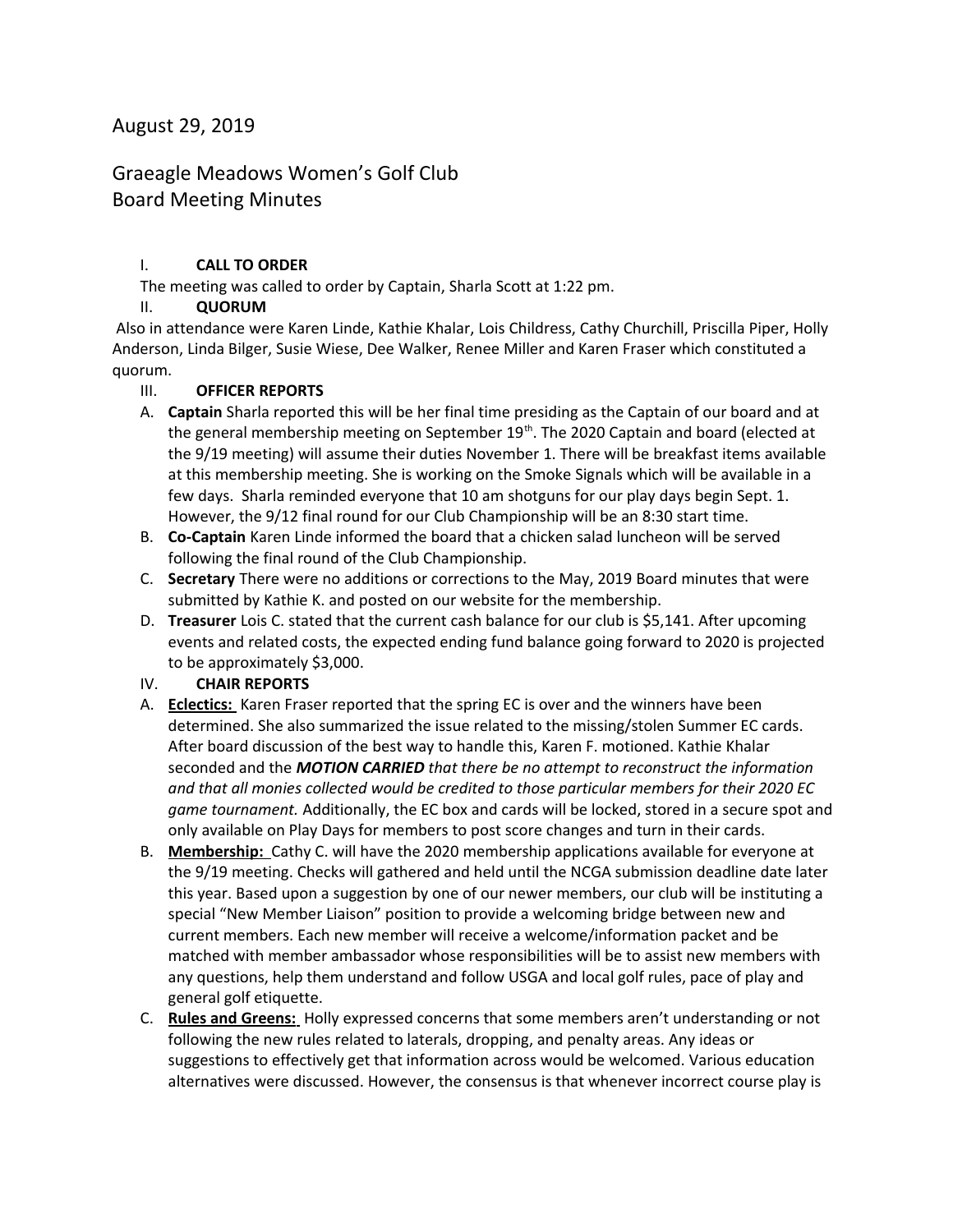## August 29, 2019

# Graeagle Meadows Women's Golf Club Board Meeting Minutes

## I. **CALL TO ORDER**

The meeting was called to order by Captain, Sharla Scott at 1:22 pm.

## II. **QUORUM**

 Also in attendance were Karen Linde, Kathie Khalar, Lois Childress, Cathy Churchill, Priscilla Piper, Holly Anderson, Linda Bilger, Susie Wiese, Dee Walker, Renee Miller and Karen Fraser which constituted a quorum.

#### III. **OFFICER REPORTS**

- A. **Captain** Sharla reported this will be her final time presiding as the Captain of our board and at the general membership meeting on September 19<sup>th</sup>. The 2020 Captain and board (elected at the 9/19 meeting) will assume their duties November 1. There will be breakfast items available at this membership meeting. She is working on the Smoke Signals which will be available in a few days. Sharla reminded everyone that 10 am shotguns for our play days begin Sept. 1. However, the 9/12 final round for our Club Championship will be an 8:30 start time.
- B. **Co-Captain** Karen Linde informed the board that a chicken salad luncheon will be served following the final round of the Club Championship.
- C. **Secretary** There were no additions or corrections to the May, 2019 Board minutes that were submitted by Kathie K. and posted on our website for the membership.
- D. **Treasurer** Lois C. stated that the current cash balance for our club is \$5,141. After upcoming events and related costs, the expected ending fund balance going forward to 2020 is projected to be approximately \$3,000.

## IV. **CHAIR REPORTS**

- A. **Eclectics:** Karen Fraser reported that the spring EC is over and the winners have been determined. She also summarized the issue related to the missing/stolen Summer EC cards. After board discussion of the best way to handle this, Karen F. motioned. Kathie Khalar seconded and the *MOTION CARRIED that there be no attempt to reconstruct the information and that all monies collected would be credited to those particular members for their 2020 EC game tournament.* Additionally, the EC box and cards will be locked, stored in a secure spot and only available on Play Days for members to post score changes and turn in their cards.
- B. **Membership:** Cathy C. will have the 2020 membership applications available for everyone at the 9/19 meeting. Checks will gathered and held until the NCGA submission deadline date later this year. Based upon a suggestion by one of our newer members, our club will be instituting a special "New Member Liaison" position to provide a welcoming bridge between new and current members. Each new member will receive a welcome/information packet and be matched with member ambassador whose responsibilities will be to assist new members with any questions, help them understand and follow USGA and local golf rules, pace of play and general golf etiquette.
- C. **Rules and Greens:** Holly expressed concerns that some members aren't understanding or not following the new rules related to laterals, dropping, and penalty areas. Any ideas or suggestions to effectively get that information across would be welcomed. Various education alternatives were discussed. However, the consensus is that whenever incorrect course play is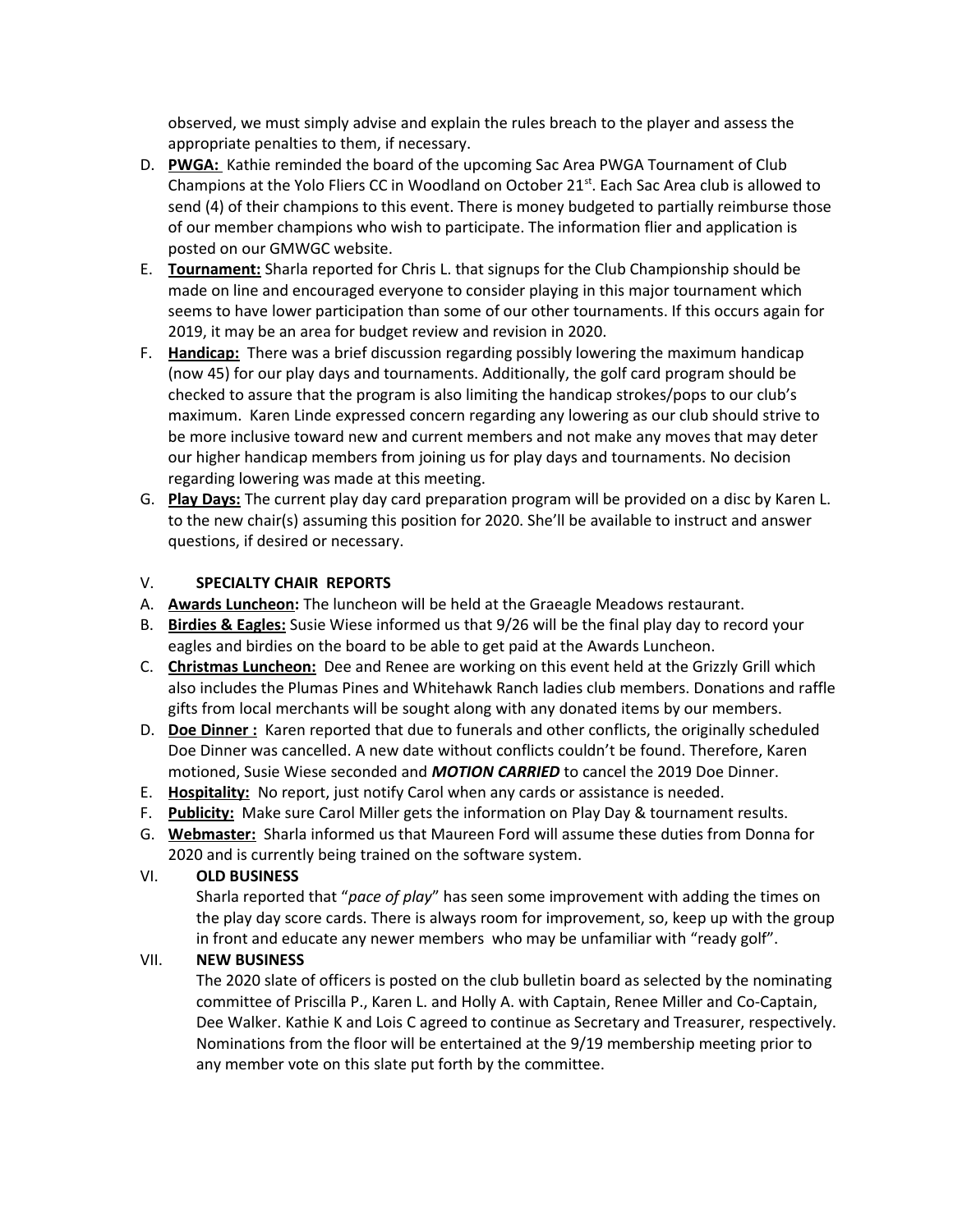observed, we must simply advise and explain the rules breach to the player and assess the appropriate penalties to them, if necessary.

- D. **PWGA:** Kathie reminded the board of the upcoming Sac Area PWGA Tournament of Club Champions at the Yolo Fliers CC in Woodland on October  $21^{st}$ . Each Sac Area club is allowed to send (4) of their champions to this event. There is money budgeted to partially reimburse those of our member champions who wish to participate. The information flier and application is posted on our GMWGC website.
- E. **Tournament:** Sharla reported for Chris L. that signups for the Club Championship should be made on line and encouraged everyone to consider playing in this major tournament which seems to have lower participation than some of our other tournaments. If this occurs again for 2019, it may be an area for budget review and revision in 2020.
- F. **Handicap:** There was a brief discussion regarding possibly lowering the maximum handicap (now 45) for our play days and tournaments. Additionally, the golf card program should be checked to assure that the program is also limiting the handicap strokes/pops to our club's maximum. Karen Linde expressed concern regarding any lowering as our club should strive to be more inclusive toward new and current members and not make any moves that may deter our higher handicap members from joining us for play days and tournaments. No decision regarding lowering was made at this meeting.
- G. **Play Days:** The current play day card preparation program will be provided on a disc by Karen L. to the new chair(s) assuming this position for 2020. She'll be available to instruct and answer questions, if desired or necessary.

#### V. **SPECIALTY CHAIR REPORTS**

- A. **Awards Luncheon:** The luncheon will be held at the Graeagle Meadows restaurant.
- B. **Birdies & Eagles:** Susie Wiese informed us that 9/26 will be the final play day to record your eagles and birdies on the board to be able to get paid at the Awards Luncheon.
- C. **Christmas Luncheon:** Dee and Renee are working on this event held at the Grizzly Grill which also includes the Plumas Pines and Whitehawk Ranch ladies club members. Donations and raffle gifts from local merchants will be sought along with any donated items by our members.
- D. **Doe Dinner :** Karen reported that due to funerals and other conflicts, the originally scheduled Doe Dinner was cancelled. A new date without conflicts couldn't be found. Therefore, Karen motioned, Susie Wiese seconded and *MOTION CARRIED* to cancel the 2019 Doe Dinner.
- E. **Hospitality:** No report, just notify Carol when any cards or assistance is needed.
- F. **Publicity:** Make sure Carol Miller gets the information on Play Day & tournament results.
- G. **Webmaster:** Sharla informed us that Maureen Ford will assume these duties from Donna for 2020 and is currently being trained on the software system.

## VI. **OLD BUSINESS**

Sharla reported that "*pace of play*" has seen some improvement with adding the times on the play day score cards. There is always room for improvement, so, keep up with the group in front and educate any newer members who may be unfamiliar with "ready golf".

## VII. **NEW BUSINESS**

The 2020 slate of officers is posted on the club bulletin board as selected by the nominating committee of Priscilla P., Karen L. and Holly A. with Captain, Renee Miller and Co-Captain, Dee Walker. Kathie K and Lois C agreed to continue as Secretary and Treasurer, respectively. Nominations from the floor will be entertained at the 9/19 membership meeting prior to any member vote on this slate put forth by the committee.